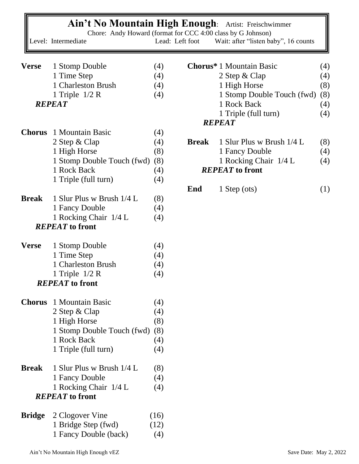|               | <b>Ain't No Mountain High Enough:</b><br>Chore: Andy Howard (format for CCC 4:00 class by G Johnson)<br>Level: Intermediate | Lead: Left foot |               | Artist: Freischwimmer<br>Wait: after "listen baby", 16 counts |     |  |
|---------------|-----------------------------------------------------------------------------------------------------------------------------|-----------------|---------------|---------------------------------------------------------------|-----|--|
|               |                                                                                                                             |                 |               |                                                               |     |  |
|               |                                                                                                                             |                 |               |                                                               |     |  |
| <b>Verse</b>  | 1 Stomp Double                                                                                                              | (4)             |               | <b>Chorus*</b> 1 Mountain Basic                               | (4) |  |
|               | 1 Time Step                                                                                                                 | (4)             |               | 2 Step & Clap                                                 | (4) |  |
|               | 1 Charleston Brush                                                                                                          | (4)             |               | 1 High Horse                                                  | (8) |  |
|               | 1 Triple $1/2$ R                                                                                                            | (4)             |               | 1 Stomp Double Touch (fwd)                                    | (8) |  |
|               | <b>REPEAT</b>                                                                                                               |                 |               | 1 Rock Back                                                   | (4) |  |
|               |                                                                                                                             |                 |               | 1 Triple (full turn)                                          | (4) |  |
|               |                                                                                                                             |                 | <b>REPEAT</b> |                                                               |     |  |
| <b>Chorus</b> | 1 Mountain Basic                                                                                                            | (4)             |               |                                                               |     |  |
|               | 2 Step & Clap                                                                                                               | (4)             | <b>Break</b>  | 1 Slur Plus w Brush 1/4 L                                     | (8) |  |
|               | 1 High Horse                                                                                                                | (8)             |               | 1 Fancy Double                                                | (4) |  |
|               | 1 Stomp Double Touch (fwd)                                                                                                  | (8)             |               | 1 Rocking Chair 1/4 L                                         | (4) |  |
|               | 1 Rock Back                                                                                                                 | (4)             |               | <b>REPEAT</b> to front                                        |     |  |
|               | 1 Triple (full turn)                                                                                                        | (4)             |               |                                                               |     |  |
|               |                                                                                                                             |                 | End           | $1$ Step (ots)                                                | (1) |  |
| <b>Break</b>  | 1 Slur Plus w Brush 1/4 L                                                                                                   | (8)             |               |                                                               |     |  |
|               | 1 Fancy Double                                                                                                              | (4)             |               |                                                               |     |  |
|               | 1 Rocking Chair 1/4 L                                                                                                       | (4)             |               |                                                               |     |  |
|               | <b>REPEAT</b> to front                                                                                                      |                 |               |                                                               |     |  |
| <b>Verse</b>  | 1 Stomp Double                                                                                                              | (4)             |               |                                                               |     |  |
|               | 1 Time Step                                                                                                                 | (4)             |               |                                                               |     |  |
|               | 1 Charleston Brush                                                                                                          | (4)             |               |                                                               |     |  |
|               | 1 Triple $1/2$ R                                                                                                            | (4)             |               |                                                               |     |  |
|               | <b>REPEAT</b> to front                                                                                                      |                 |               |                                                               |     |  |
|               |                                                                                                                             |                 |               |                                                               |     |  |
| <b>Chorus</b> | 1 Mountain Basic                                                                                                            | (4)             |               |                                                               |     |  |
|               | 2 Step & Clap                                                                                                               | (4)             |               |                                                               |     |  |
|               | 1 High Horse                                                                                                                | (8)             |               |                                                               |     |  |
|               | 1 Stomp Double Touch (fwd)                                                                                                  | (8)             |               |                                                               |     |  |
|               | 1 Rock Back                                                                                                                 | (4)             |               |                                                               |     |  |
|               | 1 Triple (full turn)                                                                                                        | (4)             |               |                                                               |     |  |
| <b>Break</b>  | 1 Slur Plus w Brush 1/4 L                                                                                                   | (8)             |               |                                                               |     |  |
|               | 1 Fancy Double                                                                                                              | (4)             |               |                                                               |     |  |
|               | 1 Rocking Chair 1/4 L                                                                                                       | (4)             |               |                                                               |     |  |
|               | <b>REPEAT</b> to front                                                                                                      |                 |               |                                                               |     |  |
|               |                                                                                                                             |                 |               |                                                               |     |  |
| <b>Bridge</b> | 2 Clogover Vine                                                                                                             | (16)            |               |                                                               |     |  |
|               | 1 Bridge Step (fwd)                                                                                                         | (12)            |               |                                                               |     |  |
|               | 1 Fancy Double (back)                                                                                                       | (4)             |               |                                                               |     |  |
|               |                                                                                                                             |                 |               |                                                               |     |  |